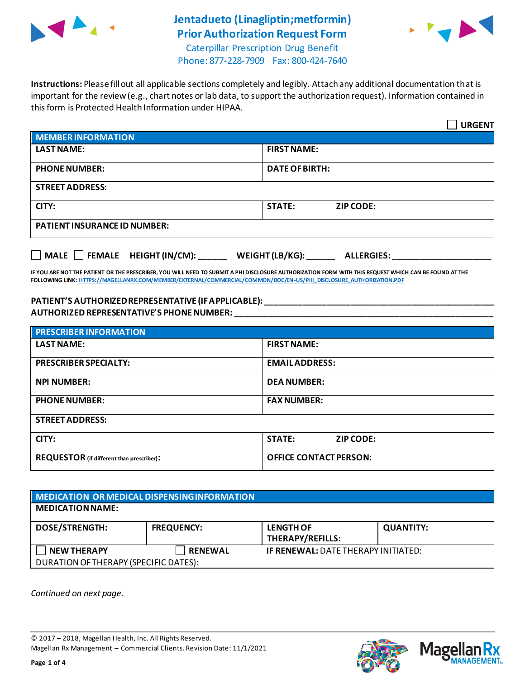

## **Jentadueto (Linagliptin;metformin) Prior Authorization Request Form**



Caterpillar Prescription Drug Benefit Phone: 877-228-7909 Fax: 800-424-7640

**Instructions:** Please fill out all applicable sections completely and legibly. Attach any additional documentation that is important for the review (e.g., chart notes or lab data, to support the authorization request). Information contained in this form is Protected Health Information under HIPAA.

|                                                                                   | <b>URGENT</b>                     |  |  |
|-----------------------------------------------------------------------------------|-----------------------------------|--|--|
| <b>MEMBER INFORMATION</b>                                                         |                                   |  |  |
| <b>LAST NAME:</b>                                                                 | <b>FIRST NAME:</b>                |  |  |
| <b>PHONE NUMBER:</b>                                                              | <b>DATE OF BIRTH:</b>             |  |  |
| <b>STREET ADDRESS:</b>                                                            |                                   |  |  |
| CITY:                                                                             | <b>STATE:</b><br><b>ZIP CODE:</b> |  |  |
| <b>PATIENT INSURANCE ID NUMBER:</b>                                               |                                   |  |  |
| $\Box$ MALE $\Box$ FEMALE HEIGHT (IN/CM):<br>WEIGHT (LB/KG):<br><b>ALLERGIES:</b> |                                   |  |  |

**IF YOU ARE NOT THE PATIENT OR THE PRESCRIBER, YOU WILL NEED TO SUBMIT A PHI DISCLOSURE AUTHORIZATION FORM WITH THIS REQUEST WHICH CAN BE FOUND AT THE FOLLOWING LINK[: HTTPS://MAGELLANRX.COM/MEMBER/EXTERNAL/COMMERCIAL/COMMON/DOC/EN-US/PHI\\_DISCLOSURE\\_AUTHORIZATION.PDF](https://magellanrx.com/member/external/commercial/common/doc/en-us/PHI_Disclosure_Authorization.pdf)**

#### **PATIENT'S AUTHORIZED REPRESENTATIVE (IF APPLICABLE): \_\_\_\_\_\_\_\_\_\_\_\_\_\_\_\_\_\_\_\_\_\_\_\_\_\_\_\_\_\_\_\_\_\_\_\_\_\_\_\_\_\_\_\_\_\_\_\_\_ AUTHORIZED REPRESENTATIVE'S PHONE NUMBER: \_\_\_\_\_\_\_\_\_\_\_\_\_\_\_\_\_\_\_\_\_\_\_\_\_\_\_\_\_\_\_\_\_\_\_\_\_\_\_\_\_\_\_\_\_\_\_\_\_\_\_\_\_\_\_**

| <b>PRESCRIBER INFORMATION</b>             |                               |  |  |
|-------------------------------------------|-------------------------------|--|--|
| <b>LAST NAME:</b>                         | <b>FIRST NAME:</b>            |  |  |
| <b>PRESCRIBER SPECIALTY:</b>              | <b>EMAIL ADDRESS:</b>         |  |  |
| <b>NPI NUMBER:</b>                        | <b>DEA NUMBER:</b>            |  |  |
| <b>PHONE NUMBER:</b>                      | <b>FAX NUMBER:</b>            |  |  |
| <b>STREET ADDRESS:</b>                    |                               |  |  |
| CITY:                                     | <b>STATE:</b><br>ZIP CODE:    |  |  |
| REQUESTOR (if different than prescriber): | <b>OFFICE CONTACT PERSON:</b> |  |  |

| MEDICATION OR MEDICAL DISPENSING INFORMATION |                   |                                            |                  |  |  |
|----------------------------------------------|-------------------|--------------------------------------------|------------------|--|--|
| <b>MEDICATION NAME:</b>                      |                   |                                            |                  |  |  |
| <b>DOSE/STRENGTH:</b>                        | <b>FREQUENCY:</b> | <b>LENGTH OF</b><br>THERAPY/REFILLS:       | <b>QUANTITY:</b> |  |  |
| <b>NEW THERAPY</b>                           | <b>RENEWAL</b>    | <b>IF RENEWAL: DATE THERAPY INITIATED:</b> |                  |  |  |
| DURATION OF THERAPY (SPECIFIC DATES):        |                   |                                            |                  |  |  |

*Continued on next page.*

© 2017 – 2018, Magellan Health, Inc. All Rights Reserved. Magellan Rx Management – Commercial Clients. Revision Date: 11/1/2021



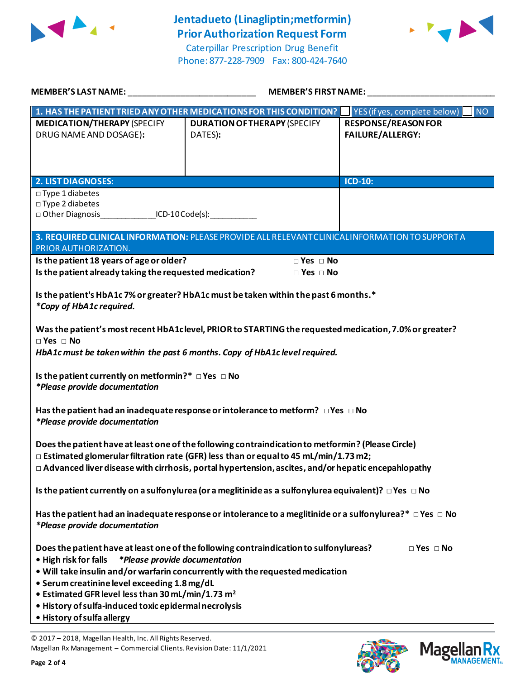

# **Jentadueto (Linagliptin;metformin) Prior Authorization Request Form**



Caterpillar Prescription Drug Benefit Phone: 877-228-7909 Fax: 800-424-7640

| MEMBER'S LAST NAME: NAME AND A SERIES AND A SERIES OF STREET AND A SERIES OF STREET AND A SERIES OF STREET AND                                                                                                                                                                                                | <b>MEMBER'S FIRST NAME:</b>                                                                                                                                              |                                                             |  |  |
|---------------------------------------------------------------------------------------------------------------------------------------------------------------------------------------------------------------------------------------------------------------------------------------------------------------|--------------------------------------------------------------------------------------------------------------------------------------------------------------------------|-------------------------------------------------------------|--|--|
|                                                                                                                                                                                                                                                                                                               | 1. HAS THE PATIENT TRIED ANY OTHER MEDICATIONS FOR THIS CONDITION?   YES (if yes, complete below)                                                                        |                                                             |  |  |
| <b>MEDICATION/THERAPY (SPECIFY</b><br>DRUG NAME AND DOSAGE):                                                                                                                                                                                                                                                  | <b>DURATION OF THERAPY (SPECIFY</b><br>DATES):                                                                                                                           | NO<br><b>RESPONSE/REASON FOR</b><br><b>FAILURE/ALLERGY:</b> |  |  |
| <b>2. LIST DIAGNOSES:</b>                                                                                                                                                                                                                                                                                     |                                                                                                                                                                          | <b>ICD-10:</b>                                              |  |  |
| $\square$ Type 1 diabetes<br>□ Type 2 diabetes<br>□ Other Diagnosis ___________________ICD-10 Code(s): _____________                                                                                                                                                                                          |                                                                                                                                                                          |                                                             |  |  |
| PRIOR AUTHORIZATION.                                                                                                                                                                                                                                                                                          | 3. REQUIRED CLINICAL INFORMATION: PLEASE PROVIDE ALL RELEVANT CLINICAL INFORMATION TO SUPPORT A                                                                          |                                                             |  |  |
| Is the patient 18 years of age or older?                                                                                                                                                                                                                                                                      | $\Box$ Yes $\Box$ No                                                                                                                                                     |                                                             |  |  |
| Is the patient already taking the requested medication?                                                                                                                                                                                                                                                       | $\Box$ Yes $\Box$ No                                                                                                                                                     |                                                             |  |  |
| Is the patient's HbA1c 7% or greater? HbA1c must be taken within the past 6 months.*<br>*Copy of HbA1c required.                                                                                                                                                                                              |                                                                                                                                                                          |                                                             |  |  |
| Was the patient's most recent HbA1clevel, PRIOR to STARTING the requested medication, 7.0% or greater?<br>$\Box$ Yes $\Box$ No<br>HbA1c must be taken within the past 6 months. Copy of HbA1c level required.                                                                                                 |                                                                                                                                                                          |                                                             |  |  |
| Is the patient currently on metformin?* $\Box$ Yes $\Box$ No<br>*Please provide documentation                                                                                                                                                                                                                 |                                                                                                                                                                          |                                                             |  |  |
| Has the patient had an inadequate response or intolerance to metform? $\Box$ Yes $\Box$ No<br>*Please provide documentation                                                                                                                                                                                   |                                                                                                                                                                          |                                                             |  |  |
| Does the patient have at least one of the following contraindication to metformin? (Please Circle)<br>$\Box$ Estimated glomerular filtration rate (GFR) less than or equal to 45 mL/min/1.73 m2;<br>$\Box$ Advanced liver disease with cirrhosis, portal hypertension, ascites, and/or hepatic encepahlopathy |                                                                                                                                                                          |                                                             |  |  |
| Is the patient currently on a sulfonylurea (or a meglitinide as a sulfonylurea equivalent)? $\Box$ Yes $\Box$ No                                                                                                                                                                                              |                                                                                                                                                                          |                                                             |  |  |
| Has the patient had an inadequate response or intolerance to a meglitinide or a sulfonylurea?* $\Box$ Yes $\Box$ No<br>*Please provide documentation                                                                                                                                                          |                                                                                                                                                                          |                                                             |  |  |
| <i>*Please provide documentation</i><br>• High risk for falls<br>• Serum creatinine level exceeding 1.8 mg/dL<br>• Estimated GFR level less than 30 mL/min/1.73 m <sup>2</sup><br>· History of sulfa-induced toxic epidermal necrolysis<br>• History of sulfa allergy                                         | Does the patient have at least one of the following contraindication to sulfonylureas?<br>. Will take insulin and/or warfarin concurrently with the requested medication | $\Box$ Yes $\Box$ No                                        |  |  |

© 2017 – 2018, Magellan Health, Inc. All Rights Reserved. Magellan Rx Management – Commercial Clients. Revision Date: 11/1/2021

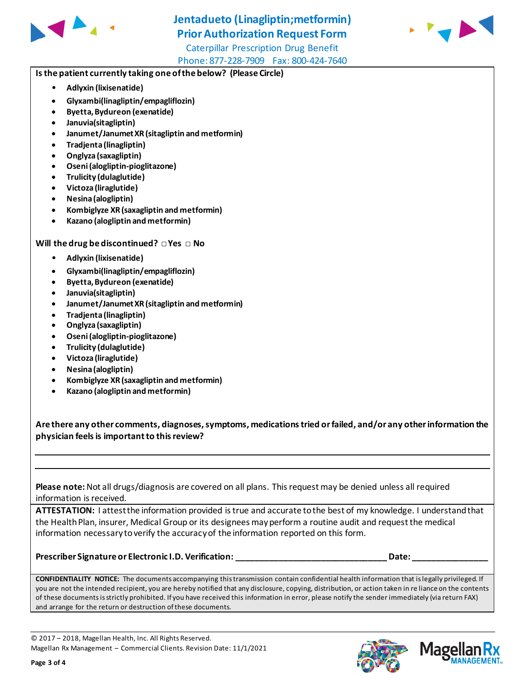

### **Jentadueto (Linagliptin;metformin) Prior Authorization Request Form**



Caterpillar Prescription Drug Benefit Phone: 877-228-7909 Fax: 800-424-7640

#### **Is the patient currently taking one of the below? (Please Circle)**

- **Adlyxin (lixisenatide)**
- **Glyxambi(linagliptin/empagliflozin)**
- **Byetta, Bydureon (exenatide)**
- **Januvia(sitagliptin)**
- **Janumet/Janumet XR (sitagliptin and metformin)**
- **Tradjenta (linagliptin)**
- **Onglyza (saxagliptin)**
- **Oseni (alogliptin-pioglitazone)**
- **Trulicity (dulaglutide)**
- **Victoza (liraglutide)**
- **Nesina (alogliptin)**
- **Kombiglyze XR (saxagliptin and metformin)**
- **Kazano (alogliptin and metformin)**

#### **Will the drug be discontinued? □ Yes □ No**

- **Adlyxin (lixisenatide)**
- **Glyxambi(linagliptin/empagliflozin)**
- **Byetta, Bydureon (exenatide)**
- **Januvia(sitagliptin)**
- **Janumet/Janumet XR (sitagliptin and metformin)**
- **Tradjenta (linagliptin)**
- **Onglyza (saxagliptin)**
- **Oseni (alogliptin-pioglitazone)**
- **Trulicity (dulaglutide)**
- **Victoza (liraglutide)**
- **Nesina (alogliptin)**
- **Kombiglyze XR (saxagliptin and metformin)**
- **Kazano (alogliptin and metformin)**

**Are there any other comments, diagnoses, symptoms, medications tried or failed, and/or any other information the physician feels is important to this review?**

**Please note:** Not all drugs/diagnosis are covered on all plans. This request may be denied unless all required information is received.

**ATTESTATION:** I attest the information provided is true and accurate to the best of my knowledge. I understand that the Health Plan, insurer, Medical Group or its designees may perform a routine audit and request the medical information necessary to verify the accuracy of the information reported on this form.

#### **Prescriber Signature or Electronic I.D. Verification: \_\_\_\_\_\_\_\_\_\_\_\_\_\_\_\_\_\_\_\_\_\_\_\_\_\_\_\_\_\_\_\_ Date: \_\_\_\_\_\_\_\_\_\_\_\_\_\_\_\_**

**CONFIDENTIALITY NOTICE:** The documents accompanying this transmission contain confidential health information that is legally privileged. If you are not the intended recipient, you are hereby notified that any disclosure, copying, distribution, or action taken in re liance on the contents of these documents is strictly prohibited. If you have received this information in error, please notify the sender immediately (via return FAX) and arrange for the return or destruction of these documents.

© 2017 – 2018, Magellan Health, Inc. All Rights Reserved. Magellan Rx Management – Commercial Clients. Revision Date: 11/1/2021